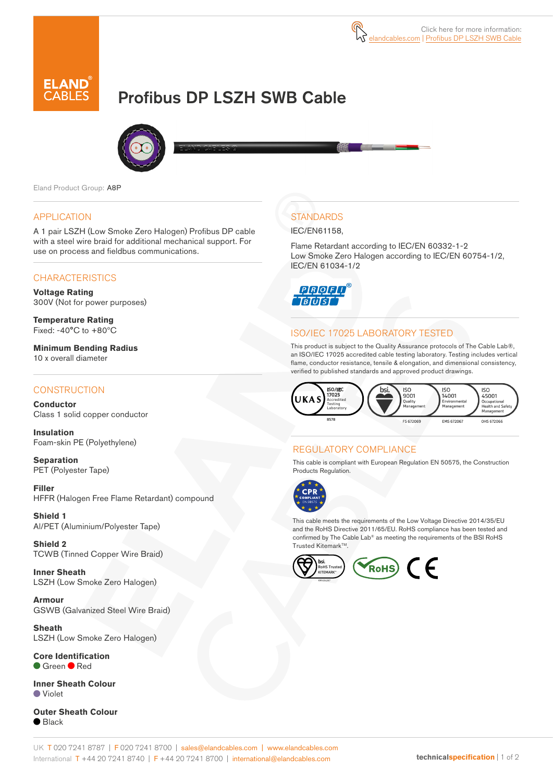

# Profibus DP LSZH SWB Cable



Eland Product Group: A8P

#### APPLICATION

A 1 pair LSZH (Low Smoke Zero Halogen) Profibus DP cable with a steel wire braid for additional mechanical support. For use on process and fieldbus communications.

## **CHARACTERISTICS**

**Voltage Rating**  300V (Not for power purposes)

**Temperature Rating** Fixed: -40°C to +80ºC

**Minimum Bending Radius**  10 x overall diameter

### **CONSTRUCTION**

**Conductor** Class 1 solid copper conductor

**Insulation** Foam-skin PE (Polyethylene)

**Separation** PET (Polyester Tape)

**Filler** HFFR (Halogen Free Flame Retardant) compound

**Shield 1** Al/PET (Aluminium/Polyester Tape)

**Shield 2** TCWB (Tinned Copper Wire Braid)

**Inner Sheath** LSZH (Low Smoke Zero Halogen)

**Armour** GSWB (Galvanized Steel Wire Braid)

**Sheath** LSZH (Low Smoke Zero Halogen)

**Core Identification** Green Red

**Inner Sheath Colour** Violet

**Outer Sheath Colour**  $\bullet$  Black

# **STANDARDS**

#### IEC/EN61158,

Flame Retardant according to IEC/EN 60332-1-2 Low Smoke Zero Halogen according to IEC/EN 60754-1/2, IEC/EN 61034-1/2



## ISO/IEC 17025 LABORATORY TESTED

This product is subject to the Quality Assurance protocols of The Cable Lab®, an ISO/IEC 17025 accredited cable testing laboratory. Testing includes vertical flame, conductor resistance, tensile & elongation, and dimensional consistency, verified to published standards and approved product drawings.



## REGULATORY COMPLIANCE

This cable is compliant with European Regulation EN 50575, the Construction Products Regulation.



This cable meets the requirements of the Low Voltage Directive 2014/35/EU and the RoHS Directive 2011/65/EU. RoHS compliance has been tested and confirmed by The Cable Lab® as meeting the requirements of the BSI RoHS Trusted Kitemark™